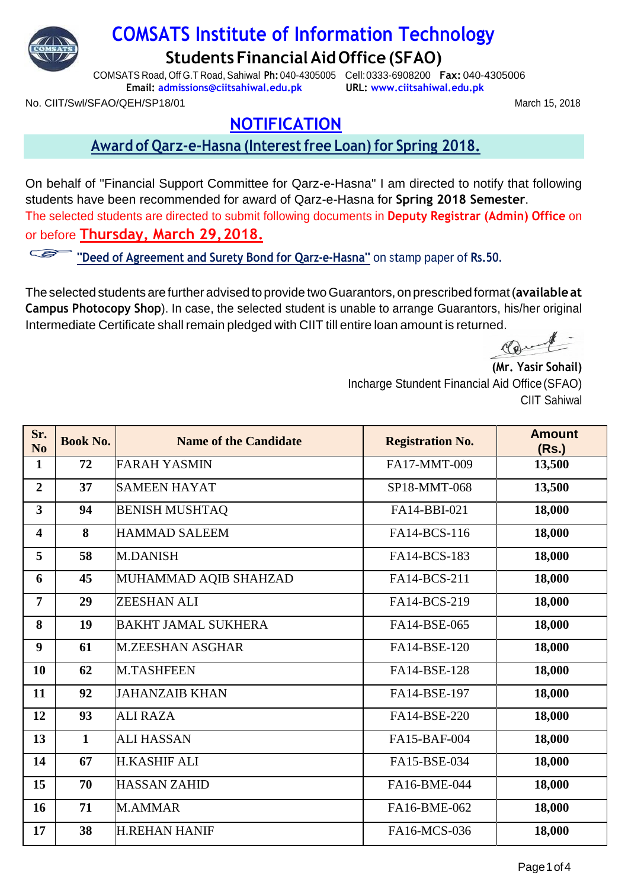

# **COMSATS Institute of Information Technology StudentsFinancialAidOffice(SFAO)**

COMSATS Road, Off G.T Road, Sahiwal **Ph:** 040-4305005 Cell:0333-6908200 **Fax:** 040-4305006 **Email: [admissions@ciitsahiwal.edu.pk](mailto:admissions@ciitsahiwal.edu.pk) URL: [www.ciitsahiwal.edu.pk](http://www.ciitsahiwal.edu.pk/)**

March 15, 2018

No. CIIT/Swl/SFAO/QEH/SP18/01

## **NOTIFICATION**

#### **Award of Qarz-e-Hasna (Interestfree Loan) for Spring 2018.**

On behalf of "Financial Support Committee for Qarz-e-Hasna" I am directed to notify that following students have been recommended for award of Qarz-e-Hasna for **Spring 2018 Semester**. The selected students are directed to submit following documents in **Deputy Registrar (Admin) Office** on or before **Thursday, March 29,2018.**

**"Deed of Agreement and Surety Bond for Qarz-e-Hasna"** on stamp paper of **Rs.50.**

Theselected studentsarefurther advised toprovide twoGuarantors,onprescribedformat(**availableat Campus Photocopy Shop**). In case, the selected student is unable to arrange Guarantors, his/her original Intermediate Certificate shall remain pledged with CIIT till entire loan amount is returned.

Marin

**(Mr. Yasir Sohail)** Incharge Stundent Financial Aid Office (SFAO) CIIT Sahiwal

| Sr.<br>N <sub>o</sub>   | <b>Book No.</b> | <b>Name of the Candidate</b> | <b>Registration No.</b> | <b>Amount</b><br>(Rs.) |
|-------------------------|-----------------|------------------------------|-------------------------|------------------------|
| 1                       | 72              | <b>FARAH YASMIN</b>          | FA17-MMT-009            | 13,500                 |
| $\overline{2}$          | 37              | <b>SAMEEN HAYAT</b>          | SP18-MMT-068            | 13,500                 |
| $\overline{\mathbf{3}}$ | 94              | <b>BENISH MUSHTAQ</b>        | FA14-BBI-021            | 18,000                 |
| 4                       | 8               | <b>HAMMAD SALEEM</b>         | FA14-BCS-116            | 18,000                 |
| 5                       | 58              | <b>M.DANISH</b>              | FA14-BCS-183            | 18,000                 |
| 6                       | 45              | MUHAMMAD AQIB SHAHZAD        | FA14-BCS-211            | 18,000                 |
| 7                       | 29              | <b>ZEESHAN ALI</b>           | FA14-BCS-219            | 18,000                 |
| 8                       | 19              | <b>BAKHT JAMAL SUKHERA</b>   | FA14-BSE-065            | 18,000                 |
| 9                       | 61              | <b>M.ZEESHAN ASGHAR</b>      | FA14-BSE-120            | 18,000                 |
| 10                      | 62              | <b>M.TASHFEEN</b>            | FA14-BSE-128            | 18,000                 |
| 11                      | 92              | <b>JAHANZAIB KHAN</b>        | FA14-BSE-197            | 18,000                 |
| 12                      | 93              | <b>ALI RAZA</b>              | FA14-BSE-220            | 18,000                 |
| 13                      | $\mathbf{1}$    | <b>ALI HASSAN</b>            | FA15-BAF-004            | 18,000                 |
| 14                      | 67              | <b>H.KASHIF ALI</b>          | FA15-BSE-034            | 18,000                 |
| 15                      | 70              | <b>HASSAN ZAHID</b>          | FA16-BME-044            | 18,000                 |
| 16                      | 71              | M.AMMAR                      | FA16-BME-062            | 18,000                 |
| 17                      | 38              | <b>H.REHAN HANIF</b>         | FA16-MCS-036            | 18,000                 |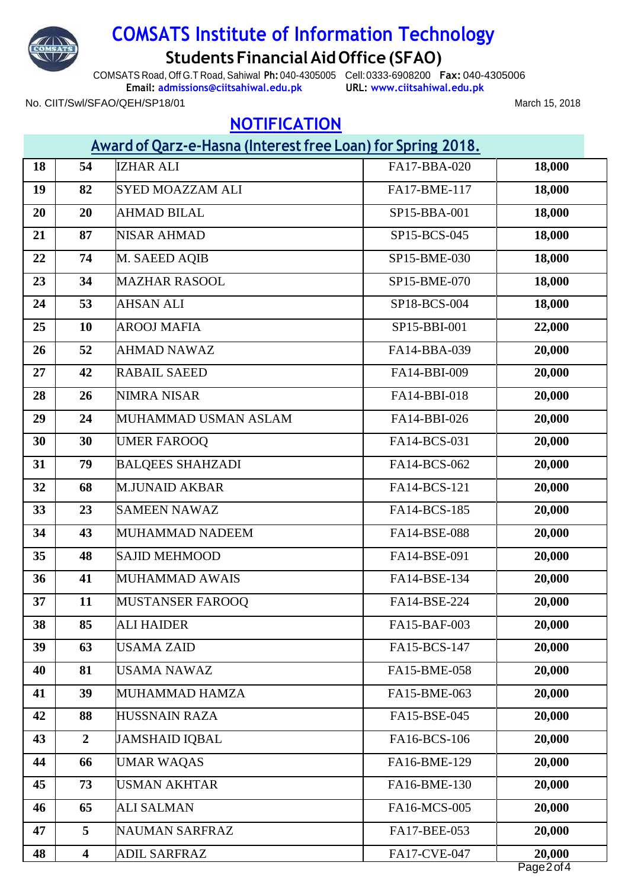

# **COMSATS Institute of Information Technology StudentsFinancialAidOffice(SFAO)**

COMSATS Road, Off G.T Road, Sahiwal **Ph:** 040-4305005 Cell:0333-6908200 **Fax:** 040-4305006 **Email: [admissions@ciitsahiwal.edu.pk](mailto:admissions@ciitsahiwal.edu.pk)**

**URL: [www.ciitsahiwal.edu.pk](http://www.ciitsahiwal.edu.pk/)**

March 15, 2018

#### No. CIIT/Swl/SFAO/QEH/SP18/01

# **NOTIFICATION**

| Award of Qarz-e-Hasna (Interest free Loan) for Spring 2018. |                         |                         |              |        |
|-------------------------------------------------------------|-------------------------|-------------------------|--------------|--------|
| 18                                                          | 54                      | <b>IZHAR ALI</b>        | FA17-BBA-020 | 18,000 |
| 19                                                          | 82                      | <b>SYED MOAZZAM ALI</b> | FA17-BME-117 | 18,000 |
| 20                                                          | 20                      | <b>AHMAD BILAL</b>      | SP15-BBA-001 | 18,000 |
| 21                                                          | 87                      | <b>NISAR AHMAD</b>      | SP15-BCS-045 | 18,000 |
| 22                                                          | 74                      | M. SAEED AQIB           | SP15-BME-030 | 18,000 |
| 23                                                          | 34                      | <b>MAZHAR RASOOL</b>    | SP15-BME-070 | 18,000 |
| 24                                                          | 53                      | <b>AHSAN ALI</b>        | SP18-BCS-004 | 18,000 |
| 25                                                          | <b>10</b>               | <b>AROOJ MAFIA</b>      | SP15-BBI-001 | 22,000 |
| 26                                                          | 52                      | <b>AHMAD NAWAZ</b>      | FA14-BBA-039 | 20,000 |
| 27                                                          | 42                      | <b>RABAIL SAEED</b>     | FA14-BBI-009 | 20,000 |
| 28                                                          | 26                      | <b>NIMRA NISAR</b>      | FA14-BBI-018 | 20,000 |
| 29                                                          | 24                      | MUHAMMAD USMAN ASLAM    | FA14-BBI-026 | 20,000 |
| 30                                                          | 30                      | <b>UMER FAROOQ</b>      | FA14-BCS-031 | 20,000 |
| 31                                                          | 79                      | <b>BALQEES SHAHZADI</b> | FA14-BCS-062 | 20,000 |
| 32                                                          | 68                      | <b>M.JUNAID AKBAR</b>   | FA14-BCS-121 | 20,000 |
| 33                                                          | 23                      | <b>SAMEEN NAWAZ</b>     | FA14-BCS-185 | 20,000 |
| 34                                                          | 43                      | MUHAMMAD NADEEM         | FA14-BSE-088 | 20,000 |
| 35                                                          | 48                      | <b>SAJID MEHMOOD</b>    | FA14-BSE-091 | 20,000 |
| 36                                                          | 41                      | MUHAMMAD AWAIS          | FA14-BSE-134 | 20,000 |
| 37                                                          | 11                      | <b>MUSTANSER FAROOO</b> | FA14-BSE-224 | 20,000 |
| 38                                                          | 85                      | <b>ALI HAIDER</b>       | FA15-BAF-003 | 20,000 |
| 39                                                          | 63                      | <b>USAMA ZAID</b>       | FA15-BCS-147 | 20,000 |
| 40                                                          | 81                      | <b>USAMA NAWAZ</b>      | FA15-BME-058 | 20,000 |
| 41                                                          | 39                      | MUHAMMAD HAMZA          | FA15-BME-063 | 20,000 |
| 42                                                          | 88                      | <b>HUSSNAIN RAZA</b>    | FA15-BSE-045 | 20,000 |
| 43                                                          | $\overline{2}$          | <b>JAMSHAID IQBAL</b>   | FA16-BCS-106 | 20,000 |
| 44                                                          | 66                      | <b>UMAR WAQAS</b>       | FA16-BME-129 | 20,000 |
| 45                                                          | 73                      | <b>USMAN AKHTAR</b>     | FA16-BME-130 | 20,000 |
| 46                                                          | 65                      | <b>ALI SALMAN</b>       | FA16-MCS-005 | 20,000 |
| 47                                                          | 5                       | <b>NAUMAN SARFRAZ</b>   | FA17-BEE-053 | 20,000 |
| 48                                                          | $\overline{\mathbf{4}}$ | <b>ADIL SARFRAZ</b>     | FA17-CVE-047 | 20,000 |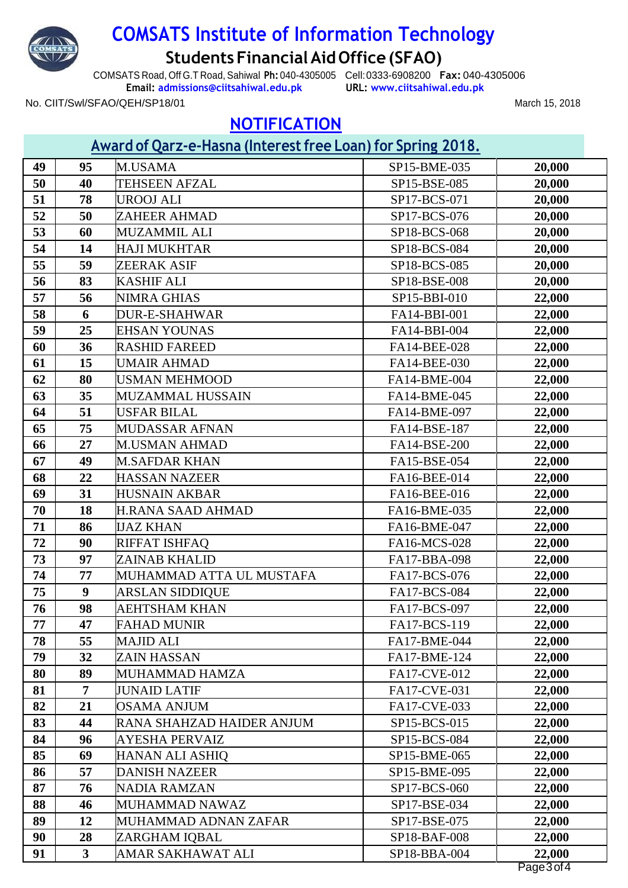

No. CIIT/Swl/SFAO/QEH/SP18/01

# **COMSATS Institute of Information Technology StudentsFinancialAidOffice(SFAO)**

COMSATS Road, Off G.T Road, Sahiwal **Ph:** 040-4305005 Cell:0333-6908200 **Fax:** 040-4305006 **Email: [admissions@ciitsahiwal.edu.pk](mailto:admissions@ciitsahiwal.edu.pk)**

**URL: [www.ciitsahiwal.edu.pk](http://www.ciitsahiwal.edu.pk/)**

March 15, 2018

## **NOTIFICATION**

## **Award of Qarz-e-Hasna (Interestfree Loan) for Spring 2018.**

|    |                | <u> Award of Qara e Thaona (interessent de Euch) for Sphing Autor</u> |              |        |
|----|----------------|-----------------------------------------------------------------------|--------------|--------|
| 49 | 95             | M.USAMA                                                               | SP15-BME-035 | 20,000 |
| 50 | 40             | <b>TEHSEEN AFZAL</b>                                                  | SP15-BSE-085 | 20,000 |
| 51 | 78             | <b>UROOJ ALI</b>                                                      | SP17-BCS-071 | 20,000 |
| 52 | 50             | ZAHEER AHMAD                                                          | SP17-BCS-076 | 20,000 |
| 53 | 60             | <b>MUZAMMIL ALI</b>                                                   | SP18-BCS-068 | 20,000 |
| 54 | 14             | <b>HAJI MUKHTAR</b>                                                   | SP18-BCS-084 | 20,000 |
| 55 | 59             | ZEERAK ASIF                                                           | SP18-BCS-085 | 20,000 |
| 56 | 83             | <b>KASHIF ALI</b>                                                     | SP18-BSE-008 | 20,000 |
| 57 | 56             | NIMRA GHIAS                                                           | SP15-BBI-010 | 22,000 |
| 58 | 6              | <b>DUR-E-SHAHWAR</b>                                                  | FA14-BBI-001 | 22,000 |
| 59 | 25             | <b>EHSAN YOUNAS</b>                                                   | FA14-BBI-004 | 22,000 |
| 60 | 36             | <b>RASHID FAREED</b>                                                  | FA14-BEE-028 | 22,000 |
| 61 | 15             | <b>UMAIR AHMAD</b>                                                    | FA14-BEE-030 | 22,000 |
| 62 | 80             | <b>USMAN MEHMOOD</b>                                                  | FA14-BME-004 | 22,000 |
| 63 | 35             | <b>MUZAMMAL HUSSAIN</b>                                               | FA14-BME-045 | 22,000 |
| 64 | 51             | USFAR BILAL                                                           | FA14-BME-097 | 22,000 |
| 65 | 75             | <b>MUDASSAR AFNAN</b>                                                 | FA14-BSE-187 | 22,000 |
| 66 | 27             | <b>M.USMAN AHMAD</b>                                                  | FA14-BSE-200 | 22,000 |
| 67 | 49             | <b>M.SAFDAR KHAN</b>                                                  | FA15-BSE-054 | 22,000 |
| 68 | 22             | <b>HASSAN NAZEER</b>                                                  | FA16-BEE-014 | 22,000 |
| 69 | 31             | <b>HUSNAIN AKBAR</b>                                                  | FA16-BEE-016 | 22,000 |
| 70 | 18             | <b>H.RANA SAAD AHMAD</b>                                              | FA16-BME-035 | 22,000 |
| 71 | 86             | <b>IJAZ KHAN</b>                                                      | FA16-BME-047 | 22,000 |
| 72 | 90             | RIFFAT ISHFAQ                                                         | FA16-MCS-028 | 22,000 |
| 73 | 97             | <b>ZAINAB KHALID</b>                                                  | FA17-BBA-098 | 22,000 |
| 74 | 77             | MUHAMMAD ATTA UL MUSTAFA                                              | FA17-BCS-076 | 22,000 |
| 75 | 9              | <b>ARSLAN SIDDIQUE</b>                                                | FA17-BCS-084 | 22,000 |
| 76 | 98             | AEHTSHAM KHAN                                                         | FA17-BCS-097 | 22,000 |
| 77 | 47             | <b>FAHAD MUNIR</b>                                                    | FA17-BCS-119 | 22,000 |
| 78 | 55             | <b>MAJID ALI</b>                                                      | FA17-BME-044 | 22,000 |
| 79 | 32             | <b>ZAIN HASSAN</b>                                                    | FA17-BME-124 | 22,000 |
| 80 | 89             | MUHAMMAD HAMZA                                                        | FA17-CVE-012 | 22,000 |
| 81 | 7              | <b>JUNAID LATIF</b>                                                   | FA17-CVE-031 | 22,000 |
| 82 | 21             | <b>OSAMA ANJUM</b>                                                    | FA17-CVE-033 | 22,000 |
| 83 | 44             | RANA SHAHZAD HAIDER ANJUM                                             | SP15-BCS-015 | 22,000 |
| 84 | 96             | AYESHA PERVAIZ                                                        | SP15-BCS-084 | 22,000 |
| 85 | 69             | <b>HANAN ALI ASHIQ</b>                                                | SP15-BME-065 | 22,000 |
| 86 | 57             | <b>DANISH NAZEER</b>                                                  | SP15-BME-095 | 22,000 |
| 87 | 76             | <b>NADIA RAMZAN</b>                                                   | SP17-BCS-060 | 22,000 |
| 88 | 46             | MUHAMMAD NAWAZ                                                        | SP17-BSE-034 | 22,000 |
| 89 | 12             | MUHAMMAD ADNAN ZAFAR                                                  | SP17-BSE-075 | 22,000 |
| 90 | 28             | ZARGHAM IQBAL                                                         | SP18-BAF-008 | 22,000 |
| 91 | 3 <sup>1</sup> | AMAR SAKHAWAT ALI                                                     | SP18-BBA-004 | 22,000 |